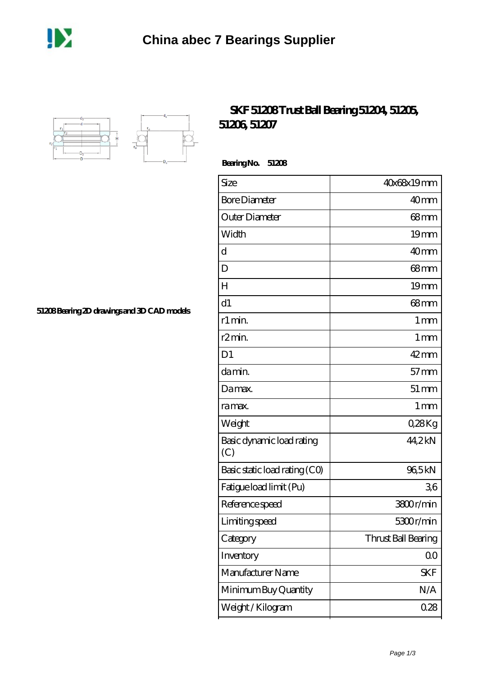



## **[SKF 51208 Trust Ball Bearing 51204, 51205,](https://m.dannysguitarshop.tv/skf-51106-bearing/skf-51208/) [51206, 51207](https://m.dannysguitarshop.tv/skf-51106-bearing/skf-51208/)**

 **Bearing No. 51208**

| 40x68x19mm          |
|---------------------|
| 40mm                |
| 68mm                |
| 19mm                |
| 40 <sub>mm</sub>    |
| 68 <sub>mm</sub>    |
| 19 <sub>mm</sub>    |
| 68 <sub>mm</sub>    |
| 1 <sub>mm</sub>     |
| $1 \,\mathrm{mm}$   |
| $42$ mm             |
| $57$ mm             |
| $51 \,\mathrm{mm}$  |
| 1 <sub>mm</sub>     |
| Q28Kg               |
| 44,2kN              |
| 96,5kN              |
| 36                  |
| 3800r/min           |
| 5300r/min           |
| Thrust Ball Bearing |
| 0 <sub>0</sub>      |
| SKF                 |
| N/A                 |
| 0.28                |
|                     |

**[51208 Bearing 2D drawings and 3D CAD models](https://m.dannysguitarshop.tv/pic-807665.html)**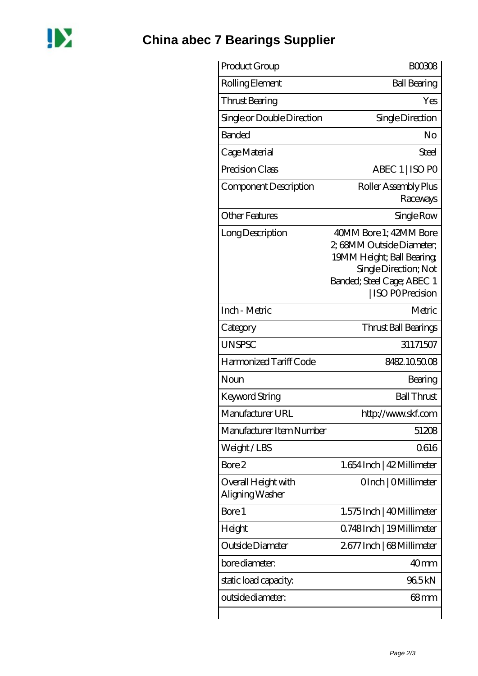

## **[China abec 7 Bearings Supplier](https://m.dannysguitarshop.tv)**

| Product Group                          | <b>BOO308</b>                                                                                                                                                      |
|----------------------------------------|--------------------------------------------------------------------------------------------------------------------------------------------------------------------|
| Rolling Element                        | <b>Ball Bearing</b>                                                                                                                                                |
| Thrust Bearing                         | Yes                                                                                                                                                                |
| Single or Double Direction             | Single Direction                                                                                                                                                   |
| <b>Banded</b>                          | No                                                                                                                                                                 |
| Cage Material                          | Steel                                                                                                                                                              |
| Precision Class                        | ABEC 1   ISO PO                                                                                                                                                    |
| Component Description                  | Roller Assembly Plus<br>Raceways                                                                                                                                   |
| <b>Other Features</b>                  | Single Row                                                                                                                                                         |
| Long Description                       | 40MM Bore 1; 42MM Bore<br>2, 68MM Outside Diameter;<br>19MM Height; Ball Bearing;<br>Single Direction; Not<br>Banded; Steel Cage; ABEC 1<br><b>ISO POPrecision</b> |
| Inch - Metric                          | Metric                                                                                                                                                             |
| Category                               | Thrust Ball Bearings                                                                                                                                               |
| <b>UNSPSC</b>                          | 31171507                                                                                                                                                           |
| Harmonized Tariff Code                 | 8482105008                                                                                                                                                         |
| Noun                                   | Bearing                                                                                                                                                            |
| <b>Keyword String</b>                  | <b>Ball Thrust</b>                                                                                                                                                 |
| Manufacturer URL                       | http://www.skf.com                                                                                                                                                 |
| Manufacturer Item Number               | 51208                                                                                                                                                              |
| Weight/LBS                             | 0616                                                                                                                                                               |
| Bore 2                                 | 1.654 Inch   42 Millimeter                                                                                                                                         |
| Overall Height with<br>Aligning Washer | OInch   OMillimeter                                                                                                                                                |
| Bore 1                                 | 1.575 Inch   40 Millimeter                                                                                                                                         |
| Height                                 | Q748Inch   19Millimeter                                                                                                                                            |
| Outside Diameter                       | 2677 Inch   68 Millimeter                                                                                                                                          |
| bore diameter:                         | 40 <sub>mm</sub>                                                                                                                                                   |
| static load capacity:                  | 965kN                                                                                                                                                              |
| outside diameter:                      | 68 <sub>mm</sub>                                                                                                                                                   |
|                                        |                                                                                                                                                                    |